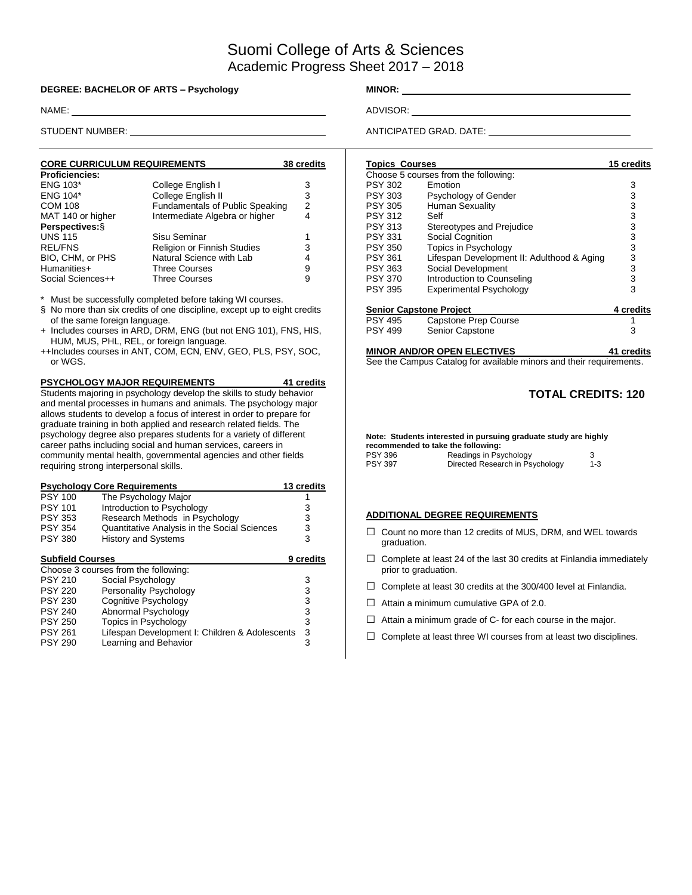# Suomi College of Arts & Sciences Academic Progress Sheet 2017 – 2018

#### **DEGREE: BACHELOR OF ARTS – Psychology MINOR:** \_\_\_\_\_\_\_\_\_\_\_\_\_

NAME: ADVISOR: ADVISOR: ADVISOR: ADVISOR: ADVISOR: ADVISOR: ADVISOR: ADVISOR: ADVISOR: ADVISOR: ADVISOR: ADVISOR: ADVISOR: ADVISOR: ADVISOR: ADVISOR: ADVISOR: ADVISOR: ADVISOR: ADVISOR: ADVISOR: ADVISOR: ADVISOR: ADVISOR:

| <b>CORE CURRICULUM REQUIREMENTS</b> |                                    | 38 credits |
|-------------------------------------|------------------------------------|------------|
| <b>Proficiencies:</b>               |                                    |            |
| <b>ENG 103*</b>                     | College English I                  | 3          |
| <b>ENG 104*</b>                     | College English II                 | 3          |
| <b>COM 108</b>                      | Fundamentals of Public Speaking    | 2          |
| MAT 140 or higher                   | Intermediate Algebra or higher     | 4          |
| Perspectives: §                     |                                    |            |
| <b>UNS 115</b>                      | Sisu Seminar                       |            |
| <b>REL/FNS</b>                      | <b>Religion or Finnish Studies</b> | 3          |
| BIO, CHM, or PHS                    | Natural Science with Lab           | 4          |
| Humanities+                         | <b>Three Courses</b>               | 9          |
| Social Sciences++                   | <b>Three Courses</b>               | 9          |

Must be successfully completed before taking WI courses.

- § No more than six credits of one discipline, except up to eight credits of the same foreign language.
- + Includes courses in ARD, DRM, ENG (but not ENG 101), FNS, HIS, HUM, MUS, PHL, REL, or foreign language.
- ++Includes courses in ANT, COM, ECN, ENV, GEO, PLS, PSY, SOC, or WGS.

**PSYCHOLOGY MAJOR REQUIREMENTS 41 credits** Students majoring in psychology develop the skills to study behavior and mental processes in humans and animals. The psychology major allows students to develop a focus of interest in order to prepare for graduate training in both applied and research related fields. The psychology degree also prepares students for a variety of different career paths including social and human services, careers in community mental health, governmental agencies and other fields requiring strong interpersonal skills.

| <b>Psychology Core Requirements</b><br>13 credits |                                                |           |  |  |  |  |  |  |  |
|---------------------------------------------------|------------------------------------------------|-----------|--|--|--|--|--|--|--|
| <b>PSY 100</b>                                    | The Psychology Major                           |           |  |  |  |  |  |  |  |
| <b>PSY 101</b>                                    | Introduction to Psychology                     | 3         |  |  |  |  |  |  |  |
| <b>PSY 353</b>                                    | Research Methods in Psychology                 | 3         |  |  |  |  |  |  |  |
| <b>PSY 354</b>                                    | Quantitative Analysis in the Social Sciences   | 3         |  |  |  |  |  |  |  |
| <b>PSY 380</b>                                    | <b>History and Systems</b>                     | 3         |  |  |  |  |  |  |  |
| <b>Subfield Courses</b>                           |                                                | 9 credits |  |  |  |  |  |  |  |
|                                                   | Choose 3 courses from the following:           |           |  |  |  |  |  |  |  |
| <b>PSY 210</b>                                    | Social Psychology                              | 3         |  |  |  |  |  |  |  |
| <b>PSY 220</b>                                    | Personality Psychology                         | 3         |  |  |  |  |  |  |  |
| <b>PSY 230</b>                                    | Cognitive Psychology                           | 3         |  |  |  |  |  |  |  |
| <b>PSY 240</b>                                    | Abnormal Psychology                            | 3         |  |  |  |  |  |  |  |
| <b>PSY 250</b>                                    | Topics in Psychology                           | 3         |  |  |  |  |  |  |  |
| <b>PSY 261</b>                                    | Lifespan Development I: Children & Adolescents | 3         |  |  |  |  |  |  |  |
| <b>PSY 290</b>                                    | Learning and Behavior                          | 3         |  |  |  |  |  |  |  |

STUDENT NUMBER: ANTICIPATED GRAD. DATE: ANTICIPATED GRAD. DATE:

| <b>Topics Courses</b> |                                                                     | 15 credits |
|-----------------------|---------------------------------------------------------------------|------------|
|                       | Choose 5 courses from the following:                                |            |
| <b>PSY 302</b>        | Emotion                                                             | 3          |
| PSY 303               | Psychology of Gender                                                | 3          |
| PSY 305               | Human Sexuality                                                     | 3          |
| <b>PSY 312</b>        | Self                                                                | 3          |
| <b>PSY 313</b>        | Stereotypes and Prejudice                                           | 3          |
| <b>PSY 331</b>        | Social Cognition                                                    | 3          |
| <b>PSY 350</b>        | Topics in Psychology                                                | 3          |
| <b>PSY 361</b>        | Lifespan Development II: Adulthood & Aging                          | 3          |
| <b>PSY 363</b>        | Social Development                                                  | 3          |
| <b>PSY 370</b>        | Introduction to Counseling                                          | 3          |
| <b>PSY 395</b>        | <b>Experimental Psychology</b>                                      | 3          |
|                       | <b>Senior Capstone Project</b>                                      | 4 credits  |
| PSY 495               | Capstone Prep Course                                                | 1          |
| <b>PSY 499</b>        | Senior Capstone                                                     | 3          |
|                       |                                                                     |            |
|                       | <b>MINOR AND/OR OPEN ELECTIVES</b>                                  | 41 credits |
|                       | See the Campus Catalog for available minors and their requirements. |            |

### **TOTAL CREDITS: 120**

**Note: Students interested in pursuing graduate study are highly recommended to take the following:**<br>PSY 396 **Readings in Psy** Readings in Psychology 3<br>Directed Research in Psychology 1-3 PSY 397 Directed Research in Psychology

#### **ADDITIONAL DEGREE REQUIREMENTS**

- $\Box$  Count no more than 12 credits of MUS, DRM, and WEL towards graduation.
- $\Box$  Complete at least 24 of the last 30 credits at Finlandia immediately prior to graduation.
- $\Box$  Complete at least 30 credits at the 300/400 level at Finlandia.
- $\Box$  Attain a minimum cumulative GPA of 2.0.
- $\Box$  Attain a minimum grade of C- for each course in the major.
- $\Box$  Complete at least three WI courses from at least two disciplines.